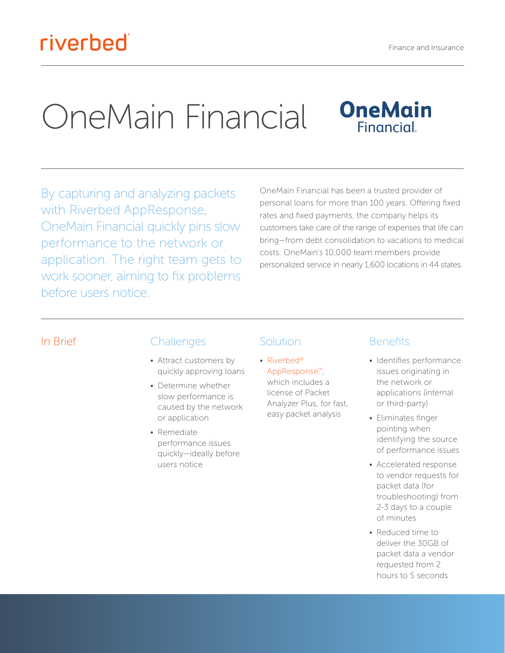# riverbed

# OneMain Financial



By capturing and analyzing packets with Riverbed AppResponse, OneMain Financial quickly pins slow performance to the network or application. The right team gets to work sooner, aiming to fix problems before users notice.

OneMain Financial has been a trusted provider of personal loans for more than 100 years. Offering fixed rates and fixed payments, the company helps its customers take care of the range of expenses that life can bring—from debt consolidation to vacations to medical costs. OneMain's 10,000 team members provide personalized service in nearly 1,600 locations in 44 states.

#### In Brief Challenges

- Attract customers by quickly approving loans
- Determine whether slow performance is caused by the network or application
- Remediate performance issues quickly—ideally before users notice

### Solution

• [Riverbed®](https://www.riverbed.com/products/steelcentral/steelcentral-appresponse-11.html) [AppResponse™](https://www.riverbed.com/products/steelcentral/steelcentral-appresponse-11.html), which includes a license of Packet Analyzer Plus, for fast,

easy packet analysis

#### Benefits

- Identifies performance issues originating in the network or applications (internal or third-party)
- Eliminates finger pointing when identifying the source of performance issues
- Accelerated response to vendor requests for packet data (for troubleshooting) from 2-3 days to a couple of minutes
- Reduced time to deliver the 30GB of packet data a vendor requested from 2 hours to 5 seconds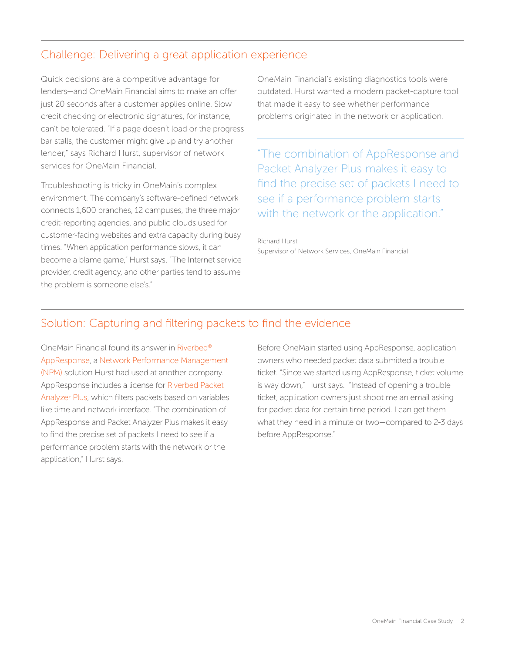#### Challenge: Delivering a great application experience

Quick decisions are a competitive advantage for lenders—and OneMain Financial aims to make an offer just 20 seconds after a customer applies online. Slow credit checking or electronic signatures, for instance, can't be tolerated. "If a page doesn't load or the progress bar stalls, the customer might give up and try another lender," says Richard Hurst, supervisor of network services for OneMain Financial.

Troubleshooting is tricky in OneMain's complex environment. The company's software-defined network connects 1,600 branches, 12 campuses, the three major credit-reporting agencies, and public clouds used for customer-facing websites and extra capacity during busy times. "When application performance slows, it can become a blame game," Hurst says. "The Internet service provider, credit agency, and other parties tend to assume the problem is someone else's."

OneMain Financial's existing diagnostics tools were outdated. Hurst wanted a modern packet-capture tool that made it easy to see whether performance problems originated in the network or application.

"The combination of AppResponse and Packet Analyzer Plus makes it easy to find the precise set of packets I need to see if a performance problem starts with the network or the application."

Richard Hurst Supervisor of Network Services, OneMain Financial

#### Solution: Capturing and filtering packets to find the evidence

OneMain Financial found its answer i[n Riverbed®](https://www.riverbed.com/products/steelcentral/steelcentral-appresponse-11.html) [AppResponse,](https://www.riverbed.com/products/steelcentral/steelcentral-appresponse-11.html) a [Network Performance Management](https://www.riverbed.com/products/steelcentral/network-performance-management.html)  [\(NPM\)](https://www.riverbed.com/products/steelcentral/network-performance-management.html) solution Hurst had used at another company. AppResponse includes a license for [Riverbed Packet](http://riverbed.com/products/steelcentral/steelcentral-packet-analyzer.html)  [Analyzer Plus,](http://riverbed.com/products/steelcentral/steelcentral-packet-analyzer.html) which filters packets based on variables like time and network interface. "The combination of AppResponse and Packet Analyzer Plus makes it easy to find the precise set of packets I need to see if a performance problem starts with the network or the application," Hurst says.

Before OneMain started using AppResponse, application owners who needed packet data submitted a trouble ticket. "Since we started using AppResponse, ticket volume is way down," Hurst says. "Instead of opening a trouble ticket, application owners just shoot me an email asking for packet data for certain time period. I can get them what they need in a minute or two—compared to 2-3 days before AppResponse."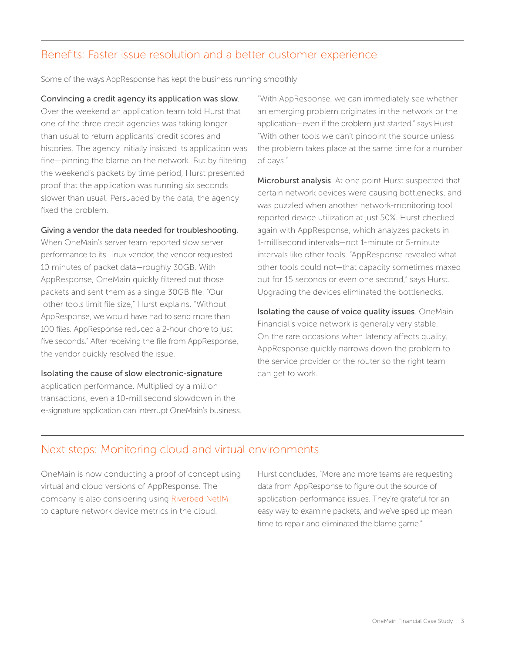#### Benefits: Faster issue resolution and a better customer experience

Some of the ways AppResponse has kept the business running smoothly:

Convincing a credit agency its application was slow. Over the weekend an application team told Hurst that one of the three credit agencies was taking longer than usual to return applicants' credit scores and histories. The agency initially insisted its application was fine—pinning the blame on the network. But by filtering the weekend's packets by time period, Hurst presented proof that the application was running six seconds slower than usual. Persuaded by the data, the agency fixed the problem.

#### Giving a vendor the data needed for troubleshooting.

When OneMain's server team reported slow server performance to its Linux vendor, the vendor requested 10 minutes of packet data—roughly 30GB. With AppResponse, OneMain quickly filtered out those packets and sent them as a single 30GB file. "Our other tools limit file size," Hurst explains. "Without AppResponse, we would have had to send more than 100 files. AppResponse reduced a 2-hour chore to just five seconds." After receiving the file from AppResponse, the vendor quickly resolved the issue.

#### Isolating the cause of slow electronic-signature

application performance. Multiplied by a million transactions, even a 10-millisecond slowdown in the e-signature application can interrupt OneMain's business.

"With AppResponse, we can immediately see whether an emerging problem originates in the network or the application—even if the problem just started," says Hurst. "With other tools we can't pinpoint the source unless the problem takes place at the same time for a number of days."

Microburst analysis. At one point Hurst suspected that certain network devices were causing bottlenecks, and was puzzled when another network-monitoring tool reported device utilization at just 50%. Hurst checked again with AppResponse, which analyzes packets in 1-millisecond intervals—not 1-minute or 5-minute intervals like other tools. "AppResponse revealed what other tools could not—that capacity sometimes maxed out for 15 seconds or even one second," says Hurst. Upgrading the devices eliminated the bottlenecks.

Isolating the cause of voice quality issues. OneMain Financial's voice network is generally very stable. On the rare occasions when latency affects quality, AppResponse quickly narrows down the problem to the service provider or the router so the right team can get to work.

#### Next steps: Monitoring cloud and virtual environments

OneMain is now conducting a proof of concept using virtual and cloud versions of AppResponse. The company is also considering using [Riverbed NetIM](https://www.riverbed.com/products/steelcentral/steelcentral-netim.html) to capture network device metrics in the cloud.

Hurst concludes, "More and more teams are requesting data from AppResponse to figure out the source of application-performance issues. They're grateful for an easy way to examine packets, and we've sped up mean time to repair and eliminated the blame game."